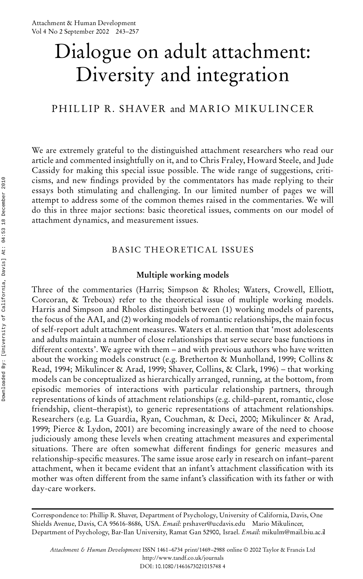# Dialogue on adult attachment: Diversity and integration

# PHILLIP R. SHAVER and MARIO MIKULINCER

We are extremely grateful to the distinguished attachment researchers who read our article and commented insightfully on it, and to Chris Fraley, Howard Steele, and Jude Cassidy for making this special issue possible. The wide range of suggestions, criti cisms, and new findings provided by the commentators has made replying to their essays both stimulating and challenging. In our limited number of pages we will attempt to address some of the common themes raised in the commentaries. We will do this in three major sections: basic theoretical issues, comments on our model of attachment dynamics, and measurement issues.

# BASIC THEORETICAL ISSUES

# **Multiple working models**

Three of the commentaries (Harris; Simpson & Rholes; Waters, Crowell, Elliott, Corcoran, & Treboux) refer to the theoretical issue of multiple working models. Harris and Simpson and Rholes distinguish between (1) working models of parents, the focus of the AAI, and (2) working models of romantic relationships, the main focus of self-report adult attachment measures. Waters et al. mention that 'most adolescents and adults maintain a number of close relationships that serve secure base functions in different contexts'. We agree with them – and with previous authors who have written about the working models construct (e.g. Bretherton & Munholland, 1999; Collins & Read, 1994; Mikulincer & Arad, 1999; Shaver, Collins, & Clark, 1996) – that working models can be conceptualized as hierarchically arranged, running, at the bottom, from episodic memories of interactions with particular relationship partners, through representations of kinds of attachment relationships (e.g. child–parent, romantic, close friendship, client–therapist), to generic representations of attachment relationships. Researchers (e.g. La Guardia, Ryan, Couchman, & Deci, 2000; Mikulincer & Arad, 1999; Pierce & Lydon, 2001) are becoming increasingly aware of the need to choose judiciously among these levels when creating attachment measures and experimental situations. There are often somewhat different findings for generic measures and relationship-specific measures. The same issue arose early in research on infant-parent attachment, when it became evident that an infant's attachment classification with its mother was often different from the same infant's classification with its father or with day-care workers. essays both stimulating provided by the commentators has made replying to their statement or addensity one of the commentations. We will do this in there syone of the commentation issues, comments on our model o<br>this in th

Correspondence to: Phillip R. Shaver, Department of Psychology, University of California, Davis, One Shields Avenue, Davis, CA 95616-8686, USA. *Email*: prshaver@ucdavis.edu Mario Mikulincer,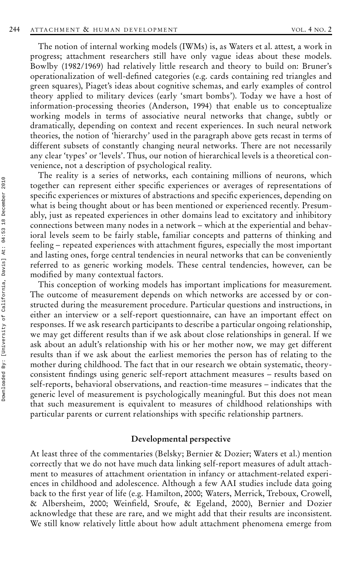The notion of internal working models (IWMs) is, as Waters et al. attest, a work in progress; attachment researchers still have only vague ideas about these models. Bowlby (1982/1969) had relatively little research and theory to build on: Bruner's operationalization of well-defined categories (e.g. cards containing red triangles and green squares), Piaget's ideas about cognitive schemas, and early examples of control theory applied to military devices (early 'smart bombs'). Today we have a host of information-processing theories (Anderson, 1994) that enable us to conceptualize working models in terms of associative neural networks that change, subtly or dramatically, depending on context and recent experiences. In such neural network theories, the notion of 'hierarchy' used in the paragraph above gets recast in terms of different subsets of constantly changing neural networks. There are not necessarily any clear 'types' or 'levels'. Thus, our notion of hierarchical levels is a theoretical con venience, not a description of psychological reality.

The reality is a series of networks, each containing millions of neurons, which together can represent either specific experiences or averages of representations of specific experiences or mixtures of abstractions and specific experiences, depending on what is being thought about or has been mentioned or experienced recently. Presum ably, just as repeated experiences in other domains lead to excitatory and inhibitory connections between many nodes in a network – which at the experiential and behavioral levels seem to be fairly stable, familiar concepts and patterns of thinking and feeling - repeated experiences with attachment figures, especially the most important and lasting ones, forge central tendencies in neural networks that can be conveniently referred to as generic working models. These central tendencies, however, can be modified by many contextual factors.

This conception of working models has important implications for measurement. The outcome of measurement depends on which networks are accessed by or constructed during the measurement procedure. Particular questions and instructions, in either an interview or a self-report questionnaire, can have an important effect on responses. If we ask research participants to describe a particular ongoing relationship, we may get different results than if we ask about close relationships in general. If we ask about an adult's relationship with his or her mother now, we may get different results than if we ask about the earliest memories the person has of relating to the mother during childhood. The fact that in our research we obtain systematic, theory consistent ndings using generic self-report attachment measures – results based on self-reports, behavioral observations, and reaction-time measures – indicates that the generic level of measurement is psychologically meaningful. But this does not mean that such measurement is equivalent to measures of childhood relationships with particular parents or current relationships with specific relationship partners.

#### **Developmental perspective**

At least three of the commentaries (Belsky; Bernier & Dozier; Waters et al.) mention correctly that we do not have much data linking self-report measures of adult attach ment to measures of attachment orientation in infancy or attachment-related experi ences in childhood and adolescence. Although a few AAI studies include data going back to the first year of life (e.g. Hamilton, 2000; Waters, Merrick, Treboux, Crowell, & Albersheim, 2000; Weinfield, Sroufe, & Egeland, 2000), Bernier and Dozier acknowledge that these are rare, and we might add that their results are inconsistent. We still know relatively little about how adult attachment phenomena emerge from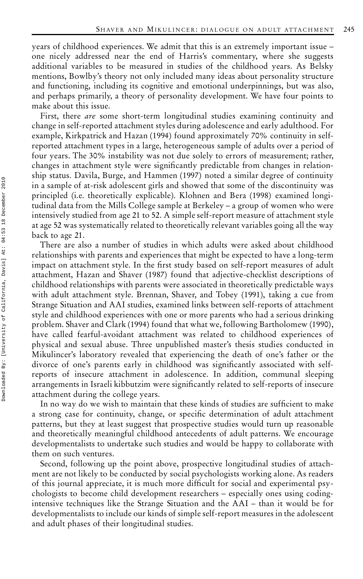years of childhood experiences. We admit that this is an extremely important issue – one nicely addressed near the end of Harris's commentary, where she suggests additional variables to be measured in studies of the childhood years. As Belsky mentions, Bowlby's theory not only included many ideas about personality structure and functioning, including its cognitive and emotional underpinnings, but was also, and perhaps primarily, a theory of personality development. We have four points to make about this issue.

First, there *are* some short-term longitudinal studies examining continuity and change in self-reported attachment styles during adolescence and early adulthood. For example, Kirkpatrick and Hazan (1994) found approximately 70% continuity in selfreported attachment types in a large, heterogeneous sample of adults over a period of four years. The 30% instability was not due solely to errors of measurement; rather, changes in attachment style were significantly predictable from changes in relationship status. Davila, Burge, and Hammen (1997) noted a similar degree of continuity in a sample of at-risk adolescent girls and showed that some of the discontinuity was principled (i.e. theoretically explicable). Klohnen and Bera (1998) examined longitudinal data from the Mills College sample at Berkeley – a group of women who were intensively studied from age 21 to 52. A simple self-report measure of attachment style at age 52 was systematically related to theoretically relevant variables going all the way back to age 21.

There are also a number of studies in which adults were asked about childhood relationships with parents and experiences that might be expected to have a long-term impact on attachment style. In the first study based on self-report measures of adult attachment, Hazan and Shaver (1987) found that adjective-checklist descriptions of childhood relationships with parents were associated in theoretically predictable ways with adult attachment style. Brennan, Shaver, and Tobey (1991), taking a cue from Strange Situation and AAI studies, examined links between self-reports of attachment style and childhood experiences with one or more parents who had a serious drinking problem. Shaver and Clark (1994) found that what we, following Bartholomew (1990), have called fearful-avoidant attachment was related to childhood experiences of physical and sexual abuse. Three unpublished master's thesis studies conducted in Mikulincer's laboratory revealed that experiencing the death of one's father or the divorce of one's parents early in childhood was significantly associated with selfreports of insecure attachment in adolescence. In addition, communal sleeping arrangements in Israeli kibbutzim were significantly related to self-reports of insecure attachment during the college years.

In no way do we wish to maintain that these kinds of studies are sufficient to make a strong case for continuity, change, or specific determination of adult attachment patterns, but they at least suggest that prospective studies would turn up reasonable and theoretically meaningful childhood antecedents of adult patterns. We encourage developmentalists to undertake such studies and would be happy to collaborate with them on such ventures.

Second, following up the point above, prospective longitudinal studies of attach ment are not likely to be conducted by social psychologists working alone. As readers of this journal appreciate, it is much more difficult for social and experimental psychologists to become child development researchers – especially ones using codingintensive techniques like the Strange Situation and the AAI – than it would be for developmentalists to include our kinds of simple self-report measures in the adolescent and adult phases of their longitudinal studies.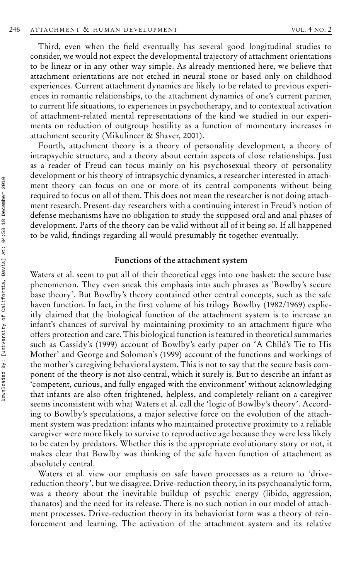Third, even when the field eventually has several good longitudinal studies to consider, we would not expect the developmental trajectory of attachment orientations to be linear or in any other way simple. As already mentioned here, we believe that attachment orientations are not etched in neural stone or based only on childhood experiences. Current attachment dynamics are likely to be related to previous experi ences in romantic relationships, to the attachment dynamics of one's current partner, to current life situations, to experiences in psychotherapy, and to contextual activation of attachment-related mental representations of the kind we studied in our experi ments on reduction of outgroup hostility as a function of momentary increases in attachment security (Mikulincer & Shaver, 2001).

Fourth, attachment theory is a theory of personality development, a theory of intrapsychic structure, and a theory about certain aspects of close relationships. Just as a reader of Freud can focus mainly on his psychosexual theory of personality development or his theory of intrapsychic dynamics, a researcher interested in attach ment theory can focus on one or more of its central components without being required to focus on all of them. This does not mean the researcher is not doing attach ment research. Present-day researchers with a continuing interest in Freud's notion of defense mechanisms have no obligation to study the supposed oral and anal phases of development. Parts of the theory can be valid without all of it being so. If all happened to be valid, findings regarding all would presumably fit together eventually.

#### **Functions of the attachment system**

Waters et al. seem to put all of their theoretical eggs into one basket: the secure base phenomenon. They even sneak this emphasis into such phrases as 'Bowlby's secure base theory'. But Bowlby's theory contained other central concepts, such as the safe haven function. In fact, in the first volume of his trilogy Bowlby (1982/1969) explicitly claimed that the biological function of the attachment system is to increase an infant's chances of survival by maintaining proximity to an attachment figure who offers protection and care. This biological function is featured in theoretical summaries such as Cassidy's (1999) account of Bowlby's early paper on 'A Child's Tie to His Mother' and George and Solomon's (1999) account of the functions and workings of the mother's caregiving behavioral system. This is not to say that the secure basis com ponent of the theory is not also central, which it surely is. But to describe an infant as 'competent, curious, and fully engaged with the environment' without acknowledging that infants are also often frightened, helpless, and completely reliant on a caregiver seems inconsistent with what Waters et al. call the 'logic of Bowlby's theory'. According to Bowlby's speculations, a major selective force on the evolution of the attach ment system was predation: infants who maintained protective proximity to a reliable caregiver were more likely to survive to reproductive age because they were less likely to be eaten by predators. Whether this is the appropriate evolutionary story or not, it makes clear that Bowlby was thinking of the safe haven function of attachment as absolutely central.

Waters et al. view our emphasis on safe haven processes as a return to 'drivereduction theory', but we disagree. Drive-reduction theory, in its psychoanalytic form, was a theory about the inevitable buildup of psychic energy (libido, aggression, thanatos) and the need for its release. There is no such notion in our model of attach ment processes. Drive-reduction theory in its behaviorist form was a theory of reinforcement and learning. The activation of the attachment system and its relative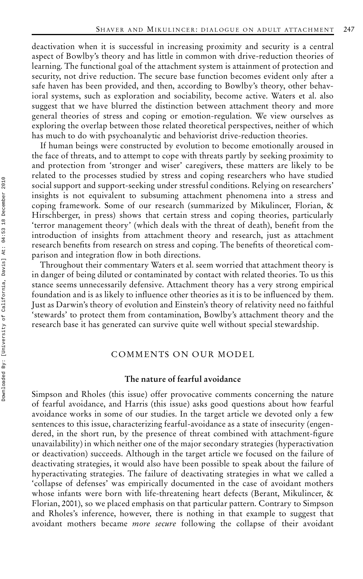deactivation when it is successful in increasing proximity and security is a central aspect of Bowlby's theory and has little in common with drive-reduction theories of learning. The functional goal of the attachment system is attainment of protection and security, not drive reduction. The secure base function becomes evident only after a safe haven has been provided, and then, according to Bowlby's theory, other behavioral systems, such as exploration and sociability, become active. Waters et al. also suggest that we have blurred the distinction between attachment theory and more general theories of stress and coping or emotion-regulation. We view ourselves as exploring the overlap between those related theoretical perspectives, neither of which has much to do with psychoanalytic and behaviorist drive-reduction theories.

If human beings were constructed by evolution to become emotionally aroused in the face of threats, and to attempt to cope with threats partly by seeking proximity to and protection from 'stronger and wiser' caregivers, these matters are likely to be related to the processes studied by stress and coping researchers who have studied social support and support-seeking under stressful conditions. Relying on researchers' insights is not equivalent to subsuming attachment phenomena into a stress and coping framework. Some of our research (summarized by Mikulincer, Florian, & Hirschberger, in press) shows that certain stress and coping theories, particularly 'terror management theory' (which deals with the threat of death), benefit from the introduction of insights from attachment theory and research, just as attachment research benefits from research on stress and coping. The benefits of theoretical comparison and integration flow in both directions.

Throughout their commentary Waters et al. seem worried that attachment theory is in danger of being diluted or contaminated by contact with related theories. To us this stance seems unnecessarily defensive. Attachment theory has a very strong empirical foundation and is as likely to influence other theories as it is to be influenced by them. Just as Darwin's theory of evolution and Einstein's theory of relativity need no faithful 'stewards' to protect them from contamination, Bowlby's attachment theory and the research base it has generated can survive quite well without special stewardship.

# COMMENTS ON OUR MODEL

# **The nature of fearful avoidance**

Simpson and Rholes (this issue) offer provocative comments concerning the nature of fearful avoidance, and Harris (this issue) asks good questions about how fearful avoidance works in some of our studies. In the target article we devoted only a few sentences to this issue, characterizing fearful-avoidance as a state of insecurity (engen dered, in the short run, by the presence of threat combined with attachment-figure unavailability) in which neither one of the major secondary strategies (hyperactivation or deactivation) succeeds. Although in the target article we focused on the failure of deactivating strategies, it would also have been possible to speak about the failure of hyperactivating strategies. The failure of deactivating strategies in what we called a 'collapse of defenses' was empirically documented in the case of avoidant mothers whose infants were born with life-threatening heart defects (Berant, Mikulincer, & Florian, 2001), so we placed emphasis on that particular pattern. Contrary to Simpson and Rholes's inference, however, there is nothing in that example to suggest that avoidant mothers became *more secure* following the collapse of their avoidant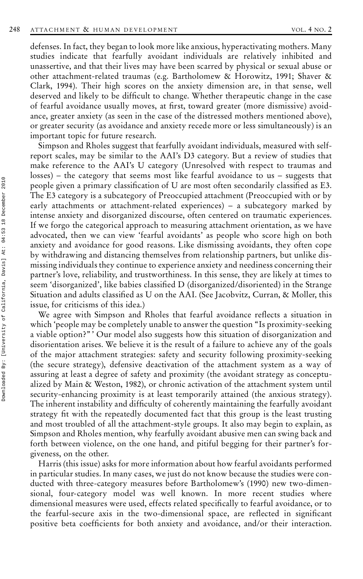defenses. In fact, they began to look more like anxious, hyperactivating mothers. Many studies indicate that fearfully avoidant individuals are relatively inhibited and unassertive, and that their lives may have been scarred by physical or sexual abuse or other attachment-related traumas (e.g. Bartholomew & Horowitz, 1991; Shaver & Clark, 1994). Their high scores on the anxiety dimension are, in that sense, well deserved and likely to be difficult to change. Whether therapeutic change in the case of fearful avoidance usually moves, at first, toward greater (more dismissive) avoidance, greater anxiety (as seen in the case of the distressed mothers mentioned above), or greater security (as avoidance and anxiety recede more or less simultaneously) is an important topic for future research.

Simpson and Rholes suggest that fearfully avoidant individuals, measured with selfreport scales, may be similar to the AAI's D3 category. But a review of studies that make reference to the AAI's U category (Unresolved with respect to traumas and losses) – the category that seems most like fearful avoidance to us – suggests that people given a primary classification of U are most often secondarily classified as E3. The E3 category is a subcategory of Preoccupied attachment (Preoccupied with or by early attachments or attachment-related experiences) – a subcategory marked by intense anxiety and disorganized discourse, often centered on traumatic experiences. If we forgo the categorical approach to measuring attachment orientation, as we have advocated, then we can view 'fearful avoidants' as people who score high on both anxiety and avoidance for good reasons. Like dismissing avoidants, they often cope by withdrawing and distancing themselves from relationship partners, but unlike dis missing individuals they continue to experience anxiety and neediness concerning their partner's love, reliability, and trustworthiness. In this sense, they are likely at times to seem 'disorganized', like babies classified  $D$  (disorganized/disoriented) in the Strange Situation and adults classified as U on the AAI. (See Jacobvitz, Curran,  $\&$  Moller, this issue, for criticisms of this idea.)

We agree with Simpson and Rholes that fearful avoidance reflects a situation in which 'people may be completely unable to answer the question "Is proximity-seeking a viable option?" ' Our model also suggests how this situation of disorganization and disorientation arises. We believe it is the result of a failure to achieve any of the goals of the major attachment strategies: safety and security following proximity-seeking (the secure strategy), defensive deactivation of the attachment system as a way of assuring at least a degree of safety and proximity (the avoidant strategy as conceptu alized by Main & Weston, 1982), or chronic activation of the attachment system until security-enhancing proximity is at least temporarily attained (the anxious strategy). The inherent instability and difficulty of coherently maintaining the fearfully avoidant strategy fit with the repeatedly documented fact that this group is the least trusting and most troubled of all the attachment-style groups. It also may begin to explain, as Simpson and Rholes mention, why fearfully avoidant abusive men can swing back and forth between violence, on the one hand, and pitiful begging for their partner's for giveness, on the other.

Harris (this issue) asks for more information about how fearful avoidants performed in particular studies. In many cases, we just do not know because the studies were con ducted with three-category measures before Bartholomew's (1990) new two-dimensional, four-category model was well known. In more recent studies where dimensional measures were used, effects related specifically to fearful avoidance, or to the fearful-secure axis in the two-dimensional space, are reflected in significant positive beta coefficients for both anxiety and avoidance, and/or their interaction.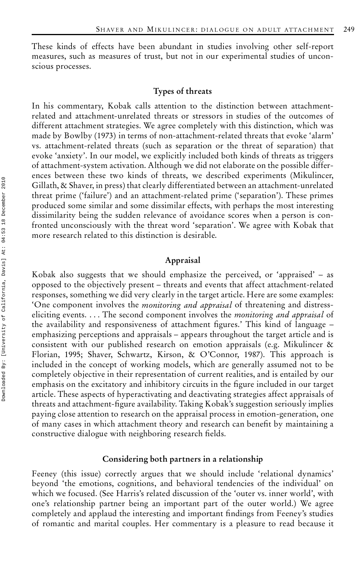These kinds of effects have been abundant in studies involving other self-report measures, such as measures of trust, but not in our experimental studies of unconscious processes.

#### **Types of threats**

In his commentary, Kobak calls attention to the distinction between attachmentrelated and attachment-unrelated threats or stressors in studies of the outcomes of different attachment strategies. We agree completely with this distinction, which was made by Bowlby (1973) in terms of non-attachment-related threats that evoke 'alarm' vs. attachment-related threats (such as separation or the threat of separation) that evoke 'anxiety'. In our model, we explicitly included both kinds of threats as triggers of attachment-system activation. Although we did not elaborate on the possible differ ences between these two kinds of threats, we described experiments (Mikulincer, Gillath, & Shaver, in press) that clearly differentiated between an attachment-unrelated threat prime ('failure') and an attachment-related prime ('separation'). These primes produced some similar and some dissimilar effects, with perhaps the most interesting dissimilarity being the sudden relevance of avoidance scores when a person is confronted unconsciously with the threat word 'separation'. We agree with Kobak that more research related to this distinction is desirable.

# **Appraisal**

Kobak also suggests that we should emphasize the perceived, or 'appraised' – as opposed to the objectively present – threats and events that affect attachment-related responses, something we did very clearly in the target article. Here are some examples: 'One component involves the *monitoring and appraisal* of threatening and distress eliciting events. . . . The second component involves the *monitoring and appraisal* of the availability and responsiveness of attachment figures.' This kind of language – emphasizing perceptions and appraisals – appears throughout the target article and is consistent with our published research on emotion appraisals (e.g. Mikulincer & Florian, 1995; Shaver, Schwartz, Kirson, & O'Connor, 1987). This approach is included in the concept of working models, which are generally assumed not to be completely objective in their representation of current realities, and is entailed by our emphasis on the excitatory and inhibitory circuits in the figure included in our target article. These aspects of hyperactivating and deactivating strategies affect appraisals of threats and attachment-figure availability. Taking Kobak's suggestion seriously implies paying close attention to research on the appraisal process in emotion-generation, one of many cases in which attachment theory and research can benefit by maintaining a constructive dialogue with neighboring research fields.

#### **Considering both partners in a relationship**

Feeney (this issue) correctly argues that we should include 'relational dynamics' beyond 'the emotions, cognitions, and behavioral tendencies of the individual' on which we focused. (See Harris's related discussion of the 'outer vs. inner world', with one's relationship partner being an important part of the outer world.) We agree completely and applaud the interesting and important findings from Feeney's studies of romantic and marital couples. Her commentary is a pleasure to read because it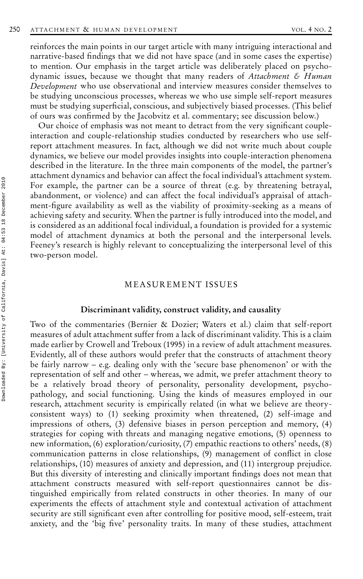reinforces the main points in our target article with many intriguing interactional and narrative-based findings that we did not have space (and in some cases the expertise) to mention. Our emphasis in the target article was deliberately placed on psycho dynamic issues, because we thought that many readers of *Attachment & Human Development* who use observational and interview measures consider themselves to be studying unconscious processes, whereas we who use simple self-report measures must be studying superficial, conscious, and subjectively biased processes. (This belief of ours was confirmed by the Jacobvitz et al. commentary; see discussion below.)

Our choice of emphasis was not meant to detract from the very significant coupleinteraction and couple-relationship studies conducted by researchers who use selfreport attachment measures. In fact, although we did not write much about couple dynamics, we believe our model provides insights into couple-interaction phenomena described in the literature. In the three main components of the model, the partner's attachment dynamics and behavior can affect the focal individual's attachment system. For example, the partner can be a source of threat (e.g. by threatening betrayal, abandonment, or violence) and can affect the focal individual's appraisal of attach ment-figure availability as well as the viability of proximity-seeking as a means of achieving safety and security. When the partner is fully introduced into the model, and is considered as an additional focal individual, a foundation is provided for a systemic model of attachment dynamics at both the personal and the interpersonal levels. Feeney's research is highly relevant to conceptualizing the interpersonal level of this two-person model.

#### MEASUREMENT ISSUES

#### **Discriminant validity, construct validity, and causality**

Two of the commentaries (Bernier & Dozier; Waters et al.) claim that self-report measures of adult attachment suffer from a lack of discriminant validity. This is a claim made earlier by Crowell and Treboux (1995) in a review of adult attachment measures. Evidently, all of these authors would prefer that the constructs of attachment theory be fairly narrow – e.g. dealing only with the 'secure base phenomenon' or with the representation of self and other – whereas, we admit, we prefer attachment theory to be a relatively broad theory of personality, personality development, psycho pathology, and social functioning. Using the kinds of measures employed in our research, attachment security is empirically related (in what we believe are theory consistent ways) to (1) seeking proximity when threatened, (2) self-image and impressions of others, (3) defensive biases in person perception and memory, (4) strategies for coping with threats and managing negative emotions, (5) openness to new information, (6) exploration/curiosity, (7) empathic reactions to others' needs, (8) communication patterns in close relationships, (9) management of conflict in close relationships, (10) measures of anxiety and depression, and (11) intergroup prejudice. But this diversity of interesting and clinically important findings does not mean that attachment constructs measured with self-report questionnaires cannot be distinguished empirically from related constructs in other theories. In many of our experiments the effects of attachment style and contextual activation of attachment security are still significant even after controlling for positive mood, self-esteem, trait anxiety, and the 'big five' personality traits. In many of these studies, attachment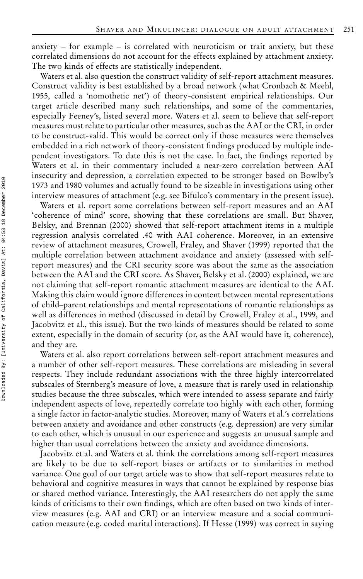anxiety – for example – is correlated with neuroticism or trait anxiety, but these correlated dimensions do not account for the effects explained by attachment anxiety. The two kinds of effects are statistically independent.

Waters et al. also question the construct validity of self-report attachment measures. Construct validity is best established by a broad network (what Cronbach & Meehl, 1955, called a 'nomothetic net') of theory-consistent empirical relationships. Our target article described many such relationships, and some of the commentaries, especially Feeney's, listed several more. Waters et al. seem to believe that self-report measures must relate to particular other measures, such as the AAI or the CRI, in order to be construct-valid. This would be correct only if those measures were themselves embedded in a rich network of theory-consistent findings produced by multiple independent investigators. To date this is not the case. In fact, the findings reported by Waters et al. in their commentary included a near-zero correlation between AAI insecurity and depression, a correlation expected to be stronger based on Bowlby's 1973 and 1980 volumes and actually found to be sizeable in investigations using other interview measures of attachment (e.g. see Bifulco's commentary in the present issue).

Waters et al. report some correlations between self-report measures and an AAI 'coherence of mind' score, showing that these correlations are small. But Shaver, Belsky, and Brennan (2000) showed that self-report attachment items in a multiple regression analysis correlated .40 with AAI coherence. Moreover, in an extensive review of attachment measures, Crowell, Fraley, and Shaver (1999) reported that the multiple correlation between attachment avoidance and anxiety (assessed with selfreport measures) and the CRI security score was about the same as the association between the AAI and the CRI score. As Shaver, Belsky et al. (2000) explained, we are not claiming that self-report romantic attachment measures are identical to the AAI. Making this claim would ignore differences in content between mental representations of child–parent relationships and mental representations of romantic relationships as well as differences in method (discussed in detail by Crowell, Fraley et al., 1999, and Jacobvitz et al., this issue). But the two kinds of measures should be related to some extent, especially in the domain of security (or, as the AAI would have it, coherence), and they are.

Waters et al. also report correlations between self-report attachment measures and a number of other self-report measures. These correlations are misleading in several respects. They include redundant associations with the three highly intercorrelated subscales of Sternberg's measure of love, a measure that is rarely used in relationship studies because the three subscales, which were intended to assess separate and fairly independent aspects of love, repeatedly correlate too highly with each other, forming a single factor in factor-analytic studies. Moreover, many of Waters et al.'s correlations between anxiety and avoidance and other constructs (e.g. depression) are very similar to each other, which is unusual in our experience and suggests an unusual sample and higher than usual correlations between the anxiety and avoidance dimensions.

Jacobvitz et al. and Waters et al. think the correlations among self-report measures are likely to be due to self-report biases or artifacts or to similarities in method variance. One goal of our target article was to show that self-report measures relate to behavioral and cognitive measures in ways that cannot be explained by response bias or shared method variance. Interestingly, the AAI researchers do not apply the same kinds of criticisms to their own findings, which are often based on two kinds of interview measures (e.g. AAI and CRI) or an interview measure and a social communi cation measure (e.g. coded marital interactions). If Hesse (1999) was correct in saying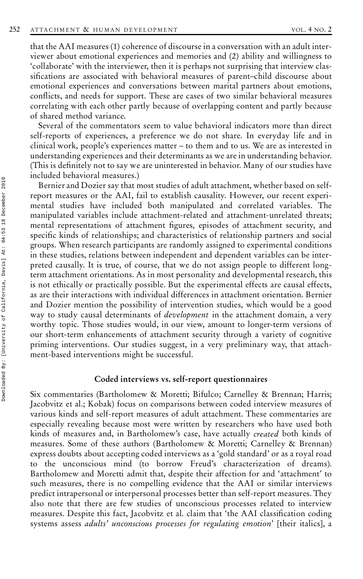that the AAI measures (1) coherence of discourse in a conversation with an adult inter viewer about emotional experiences and memories and (2) ability and willingness to 'collaborate' with the interviewer, then it is perhaps not surprising that interview classifications are associated with behavioral measures of parent–child discourse about emotional experiences and conversations between marital partners about emotions, conflicts, and needs for support. These are cases of two similar behavioral measures correlating with each other partly because of overlapping content and partly because of shared method variance.

Several of the commentators seem to value behavioral indicators more than direct self-reports of experiences, a preference we do not share. In everyday life and in clinical work, people's experiences matter – to them and to us. We are as interested in understanding experiences and their determinants as we are in understanding behavior. (This is definitely not to say we are uninterested in behavior. Many of our studies have included behavioral measures.)

Bernier and Dozier say that most studies of adult attachment, whether based on selfreport measures or the AAI, fail to establish causality. However, our recent experi mental studies have included both manipulated and correlated variables. The manipulated variables include attachment-related and attachment-unrelated threats; mental representations of attachment figures, episodes of attachment security, and specific kinds of relationships; and characteristics of relationship partners and social groups. When research participants are randomly assigned to experimental conditions in these studies, relations between independent and dependent variables can be inter preted causally. It is true, of course, that we do not assign people to different longterm attachment orientations. As in most personality and developmental research, this is not ethically or practically possible. But the experimental effects are causal effects, as are their interactions with individual differences in attachment orientation. Bernier and Dozier mention the possibility of intervention studies, which would be a good way to study causal determinants of *development* in the attachment domain, a very worthy topic. Those studies would, in our view, amount to longer-term versions of our short-term enhancements of attachment security through a variety of cognitive priming interventions. Our studies suggest, in a very preliminary way, that attach ment-based interventions might be successful.

#### **Coded interviews vs. self-report questionnaires**

Six commentaries (Bartholomew & Moretti; Bifulco; Carnelley & Brennan; Harris; Jacobvitz et al.; Kobak) focus on comparisons between coded interview measures of various kinds and self-report measures of adult attachment. These commentaries are especially revealing because most were written by researchers who have used both kinds of measures and, in Bartholomew's case, have actually *created* both kinds of measures. Some of these authors (Bartholomew & Moretti; Carnelley & Brennan) express doubts about accepting coded interviews as a 'gold standard' or as a royal road to the unconscious mind (to borrow Freud's characterization of dreams). Bartholomew and Moretti admit that, despite their affection for and 'attachment' to such measures, there is no compelling evidence that the AAI or similar interviews predict intrapersonal or interpersonal processes better than self-report measures. They also note that there are few studies of unconscious processes related to interview measures. Despite this fact, Jacobvitz et al. claim that 'the AAI classification coding systems assess *adults' unconscious processes for regulating emotion*' [their italics], a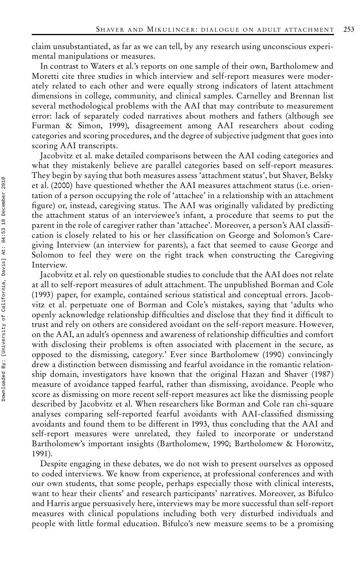claim unsubstantiated, as far as we can tell, by any research using unconscious experi mental manipulations or measures.

In contrast to Waters et al.'s reports on one sample of their own, Bartholomew and Moretti cite three studies in which interview and self-report measures were moder ately related to each other and were equally strong indicators of latent attachment dimensions in college, community, and clinical samples. Carnelley and Brennan list several methodological problems with the AAI that may contribute to measurement error: lack of separately coded narratives about mothers and fathers (although see Furman & Simon, 1999), disagreement among AAI researchers about coding categories and scoring procedures, and the degree of subjective judgment that goes into scoring AAI transcripts.

Jacobvitz et al. make detailed comparisons between the AAI coding categories and what they mistakenly believe are parallel categories based on self-report measures. They begin by saying that both measures assess 'attachment status', but Shaver, Belsky et al. (2000) have questioned whether the AAI measures attachment status (i.e. orientation of a person occupying the role of 'attachee' in a relationship with an attachment figure) or, instead, caregiving status. The AAI was originally validated by predicting the attachment status of an interviewee's infant, a procedure that seems to put the parent in the role of caregiver rather than 'attachee'. Moreover, a person's AAI classification is closely related to his or her classification on George and Solomon's Caregiving Interview (an interview for parents), a fact that seemed to cause George and Solomon to feel they were on the right track when constructing the Caregiving Interview.

Jacobvitz et al. rely on questionable studies to conclude that the AAI does not relate at all to self-report measures of adult attachment. The unpublished Borman and Cole (1993) paper, for example, contained serious statistical and conceptual errors. Jacob vitz et al. perpetuate one of Borman and Cole's mistakes, saying that 'adults who openly acknowledge relationship difficulties and disclose that they find it difficult to trust and rely on others are considered avoidant on the self-report measure. However, on the AAI, an adult's openness and awareness of relationship dif culties and comfort with disclosing their problems is often associated with placement in the secure, as opposed to the dismissing, category.' Ever since Bartholomew (1990) convincingly drew a distinction between dismissing and fearful avoidance in the romantic relationship domain, investigators have known that the original Hazan and Shaver (1987) measure of avoidance tapped fearful, rather than dismissing, avoidance. People who score as dismissing on more recent self-report measures act like the dismissing people described by Jacobvitz et al. When researchers like Borman and Cole ran chi-square analyses comparing self-reported fearful avoidants with AAI-classified dismissing avoidants and found them to be different in 1993, thus concluding that the AAI and self-report measures were unrelated, they failed to incorporate or understand Bartholomew's important insights (Bartholomew, 1990; Bartholomew & Horowitz, 1991).

Despite engaging in these debates, we do not wish to present ourselves as opposed to coded interviews. We know from experience, at professional conferences and with our own students, that some people, perhaps especially those with clinical interests, want to hear their clients' and research participants' narratives. Moreover, as Bifulco and Harris argue persuasively here, interviews may be more successful than self-report measures with clinical populations including both very disturbed individuals and people with little formal education. Bifulco's new measure seems to be a promising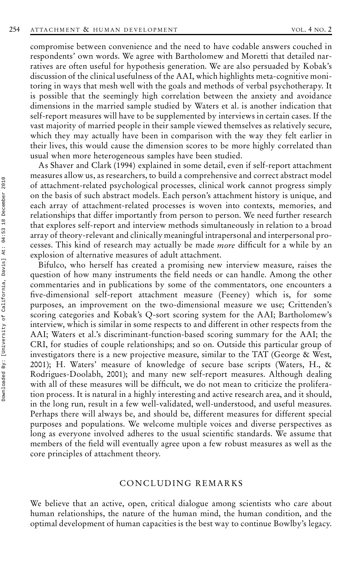compromise between convenience and the need to have codable answers couched in respondents' own words. We agree with Bartholomew and Moretti that detailed narratives are often useful for hypothesis generation. We are also persuaded by Kobak's discussion of the clinical usefulness of the AAI, which highlights meta-cognitive monitoring in ways that mesh well with the goals and methods of verbal psychotherapy. It is possible that the seemingly high correlation between the anxiety and avoidance dimensions in the married sample studied by Waters et al. is another indication that self-report measures will have to be supplemented by interviews in certain cases. If the vast majority of married people in their sample viewed themselves as relatively secure, which they may actually have been in comparison with the way they felt earlier in their lives, this would cause the dimension scores to be more highly correlated than usual when more heterogeneous samples have been studied.

As Shaver and Clark (1994) explained in some detail, even if self-report attachment measures allow us, as researchers, to build a comprehensive and correct abstract model of attachment-related psychological processes, clinical work cannot progress simply on the basis of such abstract models. Each person's attachment history is unique, and each array of attachment-related processes is woven into contexts, memories, and relationships that differ importantly from person to person. We need further research that explores self-report and interview methods simultaneously in relation to a broad array of theory-relevant and clinically meaningful intrapersonal and interpersonal pro cesses. This kind of research may actually be made *more* difficult for a while by an explosion of alternative measures of adult attachment.

Bifulco, who herself has created a promising new interview measure, raises the question of how many instruments the field needs or can handle. Among the other commentaries and in publications by some of the commentators, one encounters a five-dimensional self-report attachment measure (Feeney) which is, for some purposes, an improvement on the two-dimensional measure we use; Crittenden's scoring categories and Kobak's Q-sort scoring system for the AAI; Bartholomew's interview, which is similar in some respects to and different in other respects from the AAI; Waters et al.'s discriminant-function-based scoring summary for the AAI; the CRI, for studies of couple relationships; and so on. Outside this particular group of investigators there is a new projective measure, similar to the TAT (George & West, 2001); H. Waters' measure of knowledge of secure base scripts (Waters, H., & Rodrigues-Doolabh, 2001); and many new self-report measures. Although dealing with all of these measures will be difficult, we do not mean to criticize the proliferation process. It is natural in a highly interesting and active research area, and it should, in the long run, result in a few well-validated, well-understood, and useful measures. Perhaps there will always be, and should be, different measures for different special purposes and populations. We welcome multiple voices and diverse perspectives as long as everyone involved adheres to the usual scientific standards. We assume that members of the field will eventually agree upon a few robust measures as well as the core principles of attachment theory.

# CONCLUDING REMARKS

We believe that an active, open, critical dialogue among scientists who care about human relationships, the nature of the human mind, the human condition, and the optimal development of human capacities is the best way to continue Bowlby's legacy.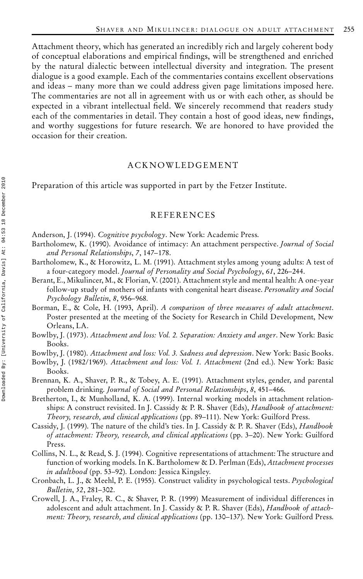Attachment theory, which has generated an incredibly rich and largely coherent body of conceptual elaborations and empirical findings, will be strengthened and enriched by the natural dialectic between intellectual diversity and integration. The present dialogue is a good example. Each of the commentaries contains excellent observations and ideas – many more than we could address given page limitations imposed here. The commentaries are not all in agreement with us or with each other, as should be expected in a vibrant intellectual field. We sincerely recommend that readers study each of the commentaries in detail. They contain a host of good ideas, new findings, and worthy suggestions for future research. We are honored to have provided the occasion for their creation.

# ACKNOWLEDGEMENT

Preparation of this article was supported in part by the Fetzer Institute.

# REFERENCES

Anderson, J. (1994). *Cognitive psychology*. New York: Academic Press.

- Bartholomew, K. (1990). Avoidance of intimacy: An attachment perspective. *Journal of Social and Personal Relationships*, *7*, 147–178.
- Bartholomew, K., & Horowitz, L. M. (1991). Attachment styles among young adults: A test of a four-category model. *Journal of Personality and Social Psychology*, *61*, 226–244.
- Berant, E., Mikulincer, M., & Florian, V. (2001). Attachment style and mental health: A one-year follow-up study of mothers of infants with congenital heart disease. *Personality and Social Psychology Bulletin*, *8*, 956–968*.*
- Borman, E., & Cole, H. (1993, April). *A comparison of three measures of adult attachment*. Poster presented at the meeting of the Society for Research in Child Development, New Orleans, LA.
- Bowlby, J. (1973). *Attachment and loss: Vol. 2. Separation: Anxiety and anger*. New York: Basic Books.
- Bowlby, J. (1980). *Attachment and loss: Vol. 3. Sadness and depression*. New York: Basic Books.
- Bowlby, J. (1982/1969). *Attachment and loss: Vol. 1. Attachment* (2nd ed.). New York: Basic Books.
- Brennan, K. A., Shaver, P. R., & Tobey, A. E. (1991). Attachment styles, gender, and parental problem drinking. *Journal of Social and Personal Relationships*, *8*, 451–466.
- Bretherton, I., & Munholland, K. A. (1999). Internal working models in attachment relationships: A construct revisited. In J. Cassidy & P. R. Shaver (Eds), *Handbook of attachment: Theory, research, and clinical applications* (pp. 89–111). New York: Guilford Press.
- Cassidy, J. (1999). The nature of the child's ties. In J. Cassidy & P. R. Shaver (Eds), *Handbook of attachment: Theory, research, and clinical applications* (pp. 3–20). New York: Guilford Press.
- Collins, N. L., & Read, S. J. (1994). Cognitive representations of attachment: The structure and function of working models. In K. Bartholomew & D. Perlman (Eds), *Attachment processes in adulthood* (pp. 53–92). London: Jessica Kingsley.
- Cronbach, L. J., & Meehl, P. E. (1955). Construct validity in psychological tests. *Psychological Bulletin*, *52*, 281–302.
- Crowell, J. A., Fraley, R. C., & Shaver, P. R. (1999) Measurement of individual differences in adolescent and adult attachment. In J. Cassidy & P. R. Shaver (Eds), *Handbook of attach ment: Theory, research, and clinical applications* (pp. 130–137). New York: Guilford Press.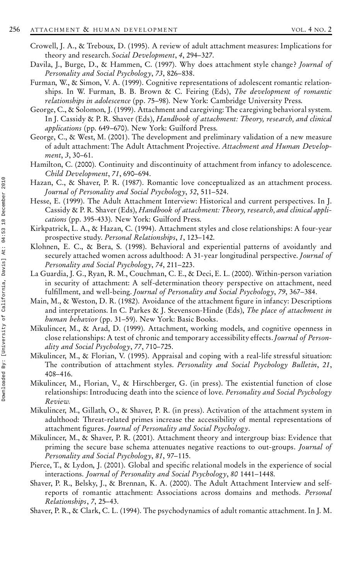- Crowell, J. A., & Treboux, D. (1995). A review of adult attachment measures: Implications for theory and research. *Social Development*, *4*, 294–327.
- Davila, J., Burge, D., & Hammen, C. (1997). Why does attachment style change? *Journal of Personality and Social Psychology*, *73*, 826–838.
- Furman, W., & Simon, V. A. (1999). Cognitive representations of adolescent romantic relationships. In W. Furman, B. B. Brown & C. Feiring (Eds), *The development of romantic relationships in adolescence* (pp. 75–98). New York: Cambridge University Press.
- George, C., & Solomon, J. (1999). Attachment and caregiving: The caregiving behavioral system. In J. Cassidy & P. R. Shaver (Eds), *Handbook of attachment: Theory, research, and clinical applications* (pp. 649–670). New York: Guilford Press.
- George, C., & West, M. (2001). The development and preliminary validation of a new measure of adult attachment: The Adult Attachment Projective. *Attachment and Human Develop ment*, *3*, 30–61.
- Hamilton, C. (2000). Continuity and discontinuity of attachment from infancy to adolescence. *Child Development*, *71*, 690–694.
- Hazan, C., & Shaver, P. R. (1987). Romantic love conceptualized as an attachment process. *Journal of Personality and Social Psychology*, *52*, 511–524.
- Hesse, E. (1999). The Adult Attachment Interview: Historical and current perspectives. In J. Cassidy & P. R. Shaver (Eds), *Handbook of attachment: Theory, research, and clinical applications* (pp. 395-433). New York: Guilford Press.
- Kirkpatrick, L. A., & Hazan, C. (1994). Attachment styles and close relationships: A four-year prospective study. *Personal Relationships*, *1*, 123–142.
- Klohnen, E. C., & Bera, S. (1998). Behavioral and experiential patterns of avoidantly and securely attached women across adulthood: A 31-year longitudinal perspective. *Journal of Personality and Social Psychology*, *74*, 211–223.
- La Guardia, J. G., Ryan, R. M., Couchman, C. E., & Deci, E. L. (2000). Within-person variation in security of attachment: A self-determination theory perspective on attachment, need fulllment, and well-being. *Journal of Personality and Social Psychology*, *79*, 367–384.
- Main, M., & Weston, D. R. (1982). Avoidance of the attachment figure in infancy: Descriptions and interpretations. In C. Parkes & J. Stevenson-Hinde (Eds), *The place of attachment in human behavior* (pp. 31–59). New York: Basic Books.
- Mikulincer, M., & Arad, D. (1999). Attachment, working models, and cognitive openness in close relationships: A test of chronic and temporary accessibility effects. *Journal of Person ality and Social Psychology*, *77*, 710–725.
- Mikulincer, M., & Florian, V. (1995). Appraisal and coping with a real-life stressful situation: The contribution of attachment styles. *Personality and Social Psychology Bulletin*, *21*, 408–416.
- Mikulincer, M., Florian, V., & Hirschberger, G. (in press). The existential function of close relationships: Introducing death into the science of love. *Personality and Social Psychology Review.*
- Mikulincer, M., Gillath, O., & Shaver, P. R. (in press). Activation of the attachment system in adulthood: Threat-related primes increase the accessibility of mental representations of attachment figures. *Journal of Personality and Social Psychology*.
- Mikulincer, M., & Shaver, P. R. (2001). Attachment theory and intergroup bias: Evidence that priming the secure base schema attenuates negative reactions to out-groups. *Journal of Personality and Social Psychology*, *81*, 97–115.
- Pierce, T., & Lydon, J. (2001). Global and specific relational models in the experience of social interactions. *Journal of Personality and Social Psychology*, *80* 1441–1448.
- Shaver, P. R., Belsky, J., & Brennan, K. A. (2000). The Adult Attachment Interview and selfreports of romantic attachment: Associations across domains and methods. *Personal Relationships*, *7*, 25–43.
- Shaver, P. R., & Clark, C. L. (1994). The psychodynamics of adult romantic attachment. In J. M.